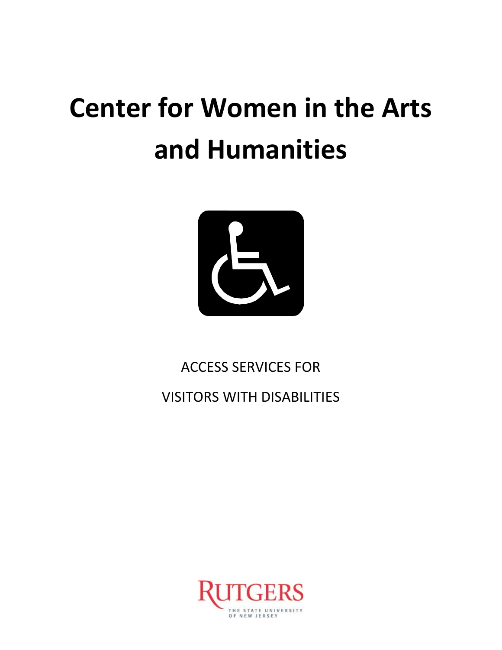# **Center for Women in the Arts and Humanities**



ACCESS SERVICES FOR

VISITORS WITH DISABILITIES

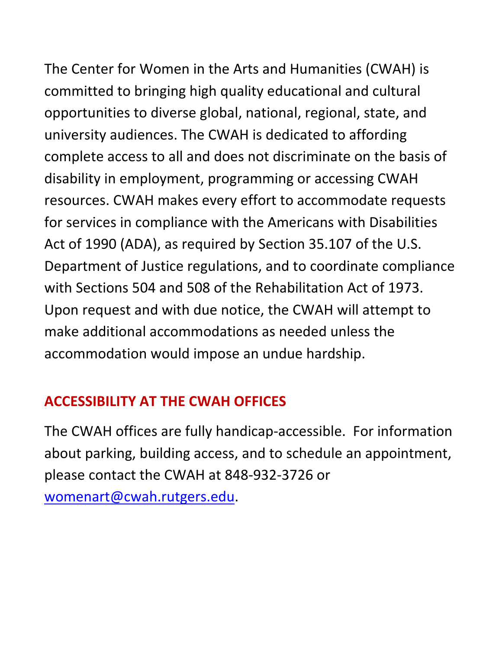The Center for Women in the Arts and Humanities (CWAH) is committed to bringing high quality educational and cultural opportunities to diverse global, national, regional, state, and university audiences. The CWAH is dedicated to affording complete access to all and does not discriminate on the basis of disability in employment, programming or accessing CWAH resources. CWAH makes every effort to accommodate requests for services in compliance with the Americans with Disabilities Act of 1990 (ADA), as required by Section 35.107 of the U.S. Department of Justice regulations, and to coordinate compliance with Sections 504 and 508 of the Rehabilitation Act of 1973. Upon request and with due notice, the CWAH will attempt to

make additional accommodations as needed unless the accommodation would impose an undue hardship.

## **ACCESSIBILITY AT THE CWAH OFFICES**

The CWAH offices are fully handicap-accessible. For information about parking, building access, and to schedule an appointment, please contact the CWAH at 848-932-3726 or [womenart@cwah.rutgers.edu.](mailto:womenart@cwah.rutgers.edu)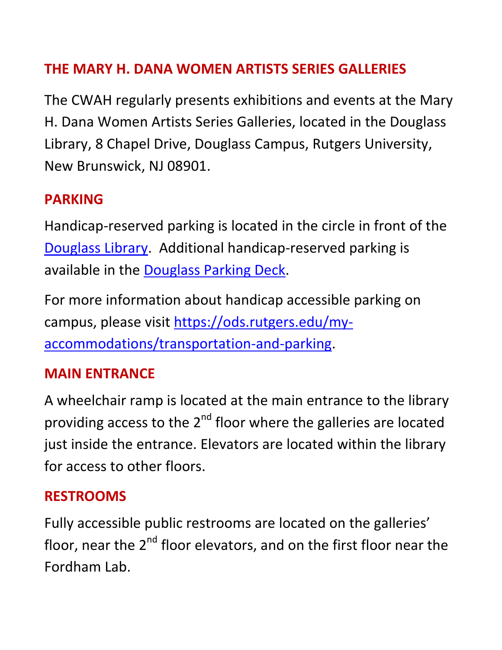## **THE MARY H. DANA WOMEN ARTISTS SERIES GALLERIES**

The CWAH regularly presents exhibitions and events at the Mary H. Dana Women Artists Series Galleries, located in the Douglass Library, 8 Chapel Drive, Douglass Campus, Rutgers University, New Brunswick, NJ 08901.

#### **PARKING**

Handicap-reserved parking is located in the circle in front of the [Douglass Library.](http://rumaps.rutgers.edu/location/douglass-library) Additional handicap-reserved parking is available in the [Douglass Parking Deck.](http://rumaps.rutgers.edu/location/parking-deck)

For more information about handicap accessible parking on campus, please visit [https://ods.rutgers.edu/my](https://ods.rutgers.edu/my-accommodations/transportation-and-parking)[accommodations/transportation-and-parking.](https://ods.rutgers.edu/my-accommodations/transportation-and-parking)

#### **MAIN ENTRANCE**

A wheelchair ramp is located at the main entrance to the library providing access to the  $2^{nd}$  floor where the galleries are located just inside the entrance. Elevators are located within the library for access to other floors.

#### **RESTROOMS**

Fully accessible public restrooms are located on the galleries' floor, near the  $2^{nd}$  floor elevators, and on the first floor near the Fordham Lab.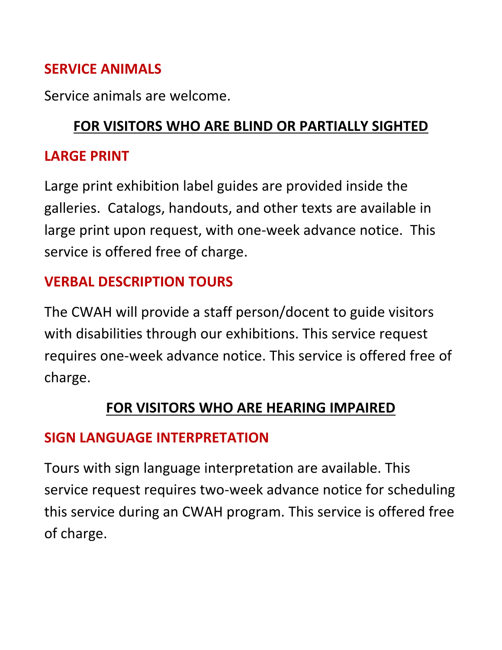## **SERVICE ANIMALS**

Service animals are welcome.

# **FOR VISITORS WHO ARE BLIND OR PARTIALLY SIGHTED**

#### **LARGE PRINT**

Large print exhibition label guides are provided inside the galleries. Catalogs, handouts, and other texts are available in large print upon request, with one-week advance notice. This service is offered free of charge.

## **VERBAL DESCRIPTION TOURS**

The CWAH will provide a staff person/docent to guide visitors with disabilities through our exhibitions. This service request requires one-week advance notice. This service is offered free of charge.

## **FOR VISITORS WHO ARE HEARING IMPAIRED**

## **SIGN LANGUAGE INTERPRETATION**

Tours with sign language interpretation are available. This service request requires two-week advance notice for scheduling this service during an CWAH program. This service is offered free of charge.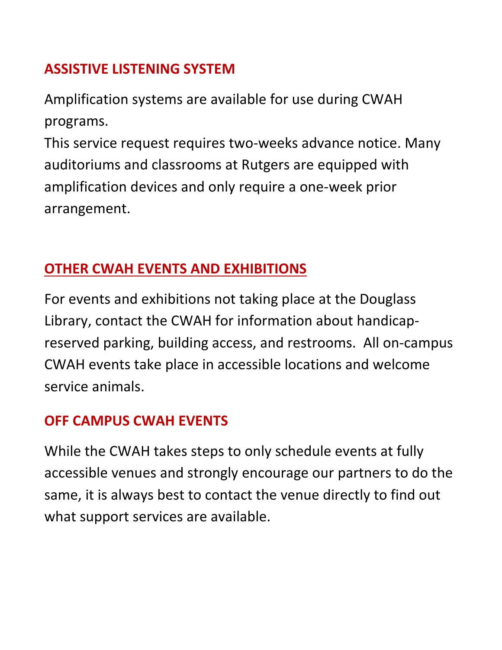## **ASSISTIVE LISTENING SYSTEM**

Amplification systems are available for use during CWAH programs.

This service request requires two-weeks advance notice. Many auditoriums and classrooms at Rutgers are equipped with amplification devices and only require a one-week prior arrangement.

# **OTHER CWAH EVENTS AND EXHIBITIONS**

For events and exhibitions not taking place at the Douglass Library, contact the CWAH for information about handicapreserved parking, building access, and restrooms. All on-campus CWAH events take place in accessible locations and welcome service animals.

## **OFF CAMPUS CWAH EVENTS**

While the CWAH takes steps to only schedule events at fully accessible venues and strongly encourage our partners to do the same, it is always best to contact the venue directly to find out what support services are available.